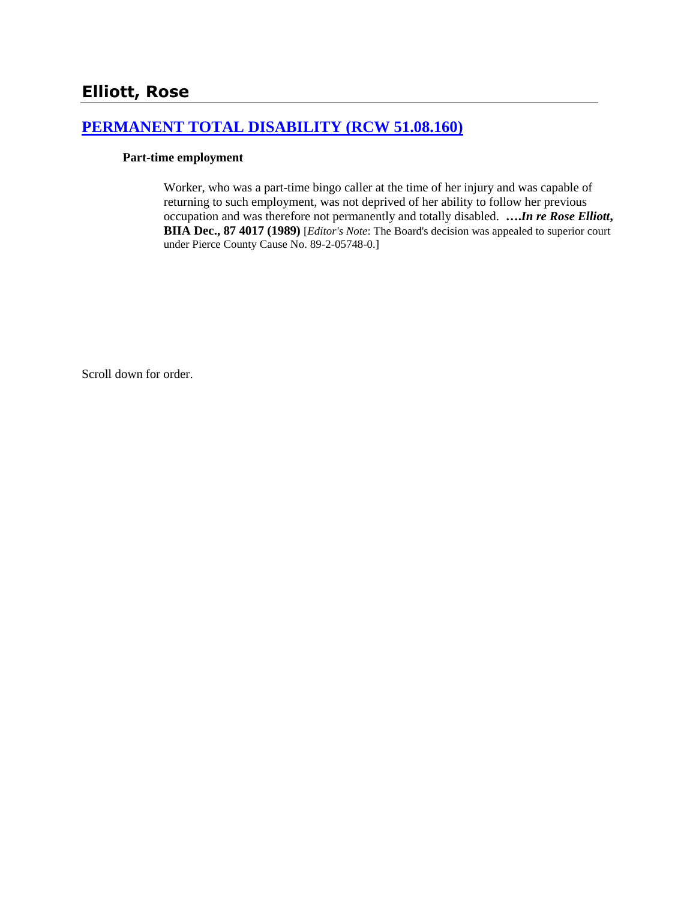# **[PERMANENT TOTAL DISABILITY \(RCW 51.08.160\)](http://www.biia.wa.gov/SDSubjectIndex.html#PERMANENT_TOTAL_DISABILITY)**

#### **Part-time employment**

Worker, who was a part-time bingo caller at the time of her injury and was capable of returning to such employment, was not deprived of her ability to follow her previous occupation and was therefore not permanently and totally disabled. **….***In re Rose Elliott***, BIIA Dec., 87 4017 (1989)** [*Editor's Note*: The Board's decision was appealed to superior court under Pierce County Cause No. 89-2-05748-0.]

Scroll down for order.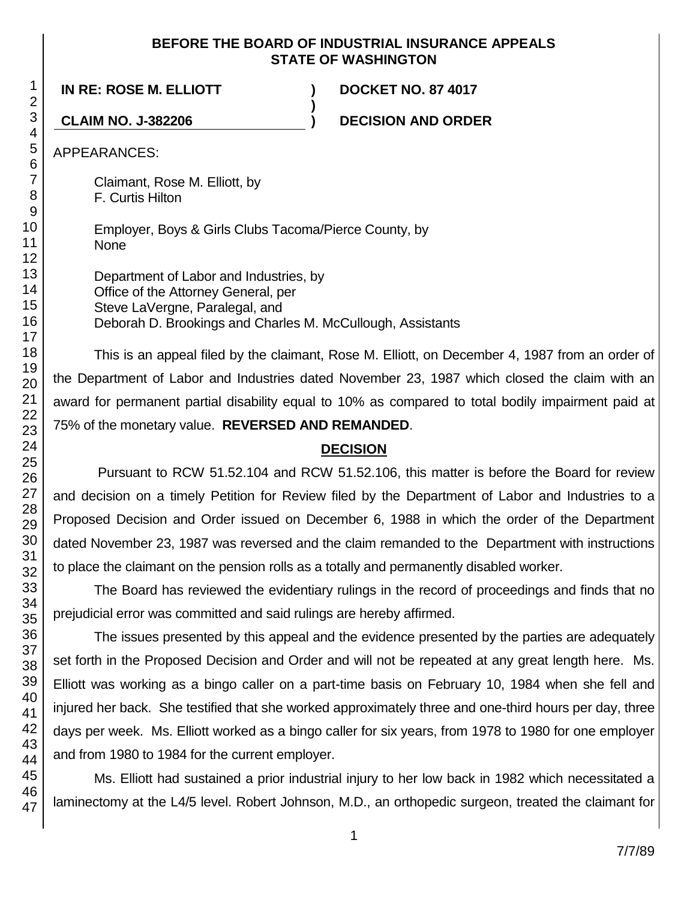### **BEFORE THE BOARD OF INDUSTRIAL INSURANCE APPEALS STATE OF WASHINGTON**

**)**

**IN RE: ROSE M. ELLIOTT ) DOCKET NO. 87 4017**

**CLAIM NO. J-382206 ) DECISION AND ORDER**

APPEARANCES:

Claimant, Rose M. Elliott, by F. Curtis Hilton

Employer, Boys & Girls Clubs Tacoma/Pierce County, by None

Department of Labor and Industries, by Office of the Attorney General, per Steve LaVergne, Paralegal, and Deborah D. Brookings and Charles M. McCullough, Assistants

This is an appeal filed by the claimant, Rose M. Elliott, on December 4, 1987 from an order of the Department of Labor and Industries dated November 23, 1987 which closed the claim with an award for permanent partial disability equal to 10% as compared to total bodily impairment paid at 75% of the monetary value. **REVERSED AND REMANDED**.

## **DECISION**

Pursuant to RCW 51.52.104 and RCW 51.52.106, this matter is before the Board for review and decision on a timely Petition for Review filed by the Department of Labor and Industries to a Proposed Decision and Order issued on December 6, 1988 in which the order of the Department dated November 23, 1987 was reversed and the claim remanded to the Department with instructions to place the claimant on the pension rolls as a totally and permanently disabled worker.

The Board has reviewed the evidentiary rulings in the record of proceedings and finds that no prejudicial error was committed and said rulings are hereby affirmed.

The issues presented by this appeal and the evidence presented by the parties are adequately set forth in the Proposed Decision and Order and will not be repeated at any great length here. Ms. Elliott was working as a bingo caller on a part-time basis on February 10, 1984 when she fell and injured her back. She testified that she worked approximately three and one-third hours per day, three days per week. Ms. Elliott worked as a bingo caller for six years, from 1978 to 1980 for one employer and from 1980 to 1984 for the current employer.

Ms. Elliott had sustained a prior industrial injury to her low back in 1982 which necessitated a laminectomy at the L4/5 level. Robert Johnson, M.D., an orthopedic surgeon, treated the claimant for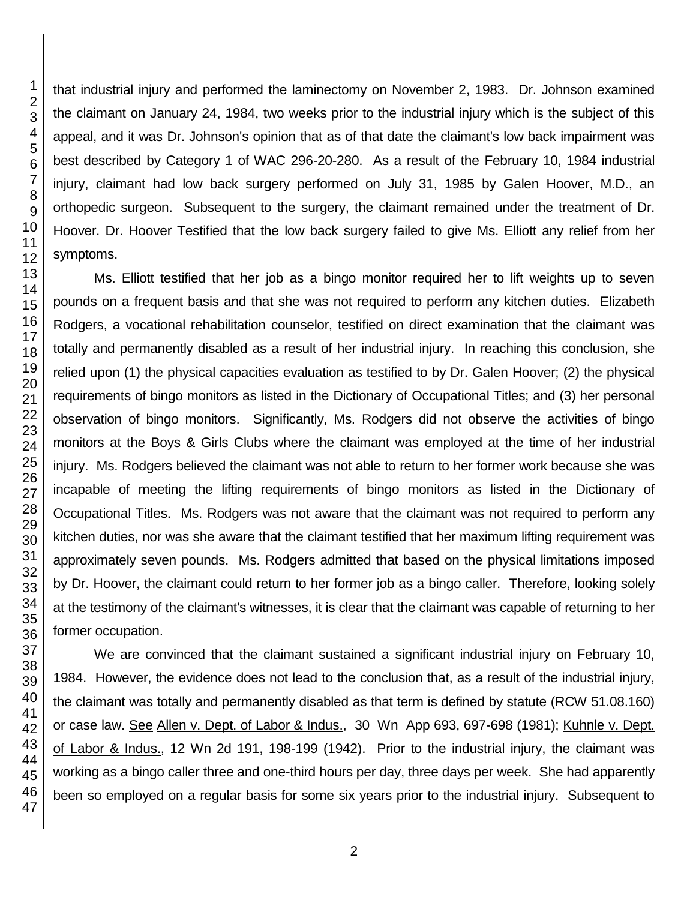that industrial injury and performed the laminectomy on November 2, 1983. Dr. Johnson examined the claimant on January 24, 1984, two weeks prior to the industrial injury which is the subject of this appeal, and it was Dr. Johnson's opinion that as of that date the claimant's low back impairment was best described by Category 1 of WAC 296-20-280. As a result of the February 10, 1984 industrial injury, claimant had low back surgery performed on July 31, 1985 by Galen Hoover, M.D., an orthopedic surgeon. Subsequent to the surgery, the claimant remained under the treatment of Dr. Hoover. Dr. Hoover Testified that the low back surgery failed to give Ms. Elliott any relief from her symptoms.

Ms. Elliott testified that her job as a bingo monitor required her to lift weights up to seven pounds on a frequent basis and that she was not required to perform any kitchen duties. Elizabeth Rodgers, a vocational rehabilitation counselor, testified on direct examination that the claimant was totally and permanently disabled as a result of her industrial injury. In reaching this conclusion, she relied upon (1) the physical capacities evaluation as testified to by Dr. Galen Hoover; (2) the physical requirements of bingo monitors as listed in the Dictionary of Occupational Titles; and (3) her personal observation of bingo monitors. Significantly, Ms. Rodgers did not observe the activities of bingo monitors at the Boys & Girls Clubs where the claimant was employed at the time of her industrial injury. Ms. Rodgers believed the claimant was not able to return to her former work because she was incapable of meeting the lifting requirements of bingo monitors as listed in the Dictionary of Occupational Titles. Ms. Rodgers was not aware that the claimant was not required to perform any kitchen duties, nor was she aware that the claimant testified that her maximum lifting requirement was approximately seven pounds. Ms. Rodgers admitted that based on the physical limitations imposed by Dr. Hoover, the claimant could return to her former job as a bingo caller. Therefore, looking solely at the testimony of the claimant's witnesses, it is clear that the claimant was capable of returning to her former occupation.

We are convinced that the claimant sustained a significant industrial injury on February 10, 1984. However, the evidence does not lead to the conclusion that, as a result of the industrial injury, the claimant was totally and permanently disabled as that term is defined by statute (RCW 51.08.160) or case law. See Allen v. Dept. of Labor & Indus., 30 Wn App 693, 697-698 (1981); Kuhnle v. Dept. of Labor & Indus., 12 Wn 2d 191, 198-199 (1942). Prior to the industrial injury, the claimant was working as a bingo caller three and one-third hours per day, three days per week. She had apparently been so employed on a regular basis for some six years prior to the industrial injury. Subsequent to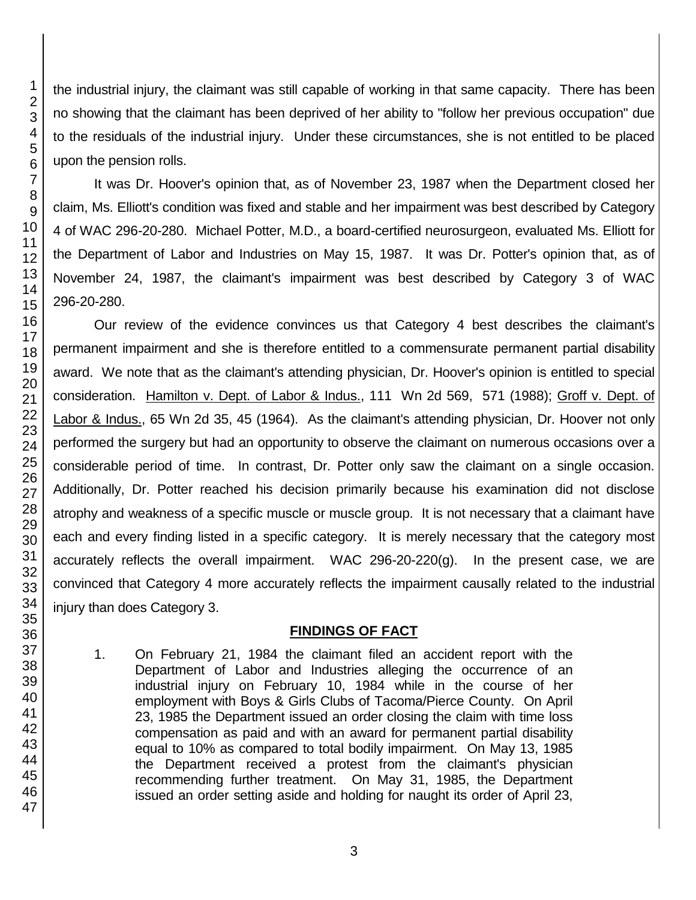the industrial injury, the claimant was still capable of working in that same capacity. There has been no showing that the claimant has been deprived of her ability to "follow her previous occupation" due to the residuals of the industrial injury. Under these circumstances, she is not entitled to be placed upon the pension rolls.

It was Dr. Hoover's opinion that, as of November 23, 1987 when the Department closed her claim, Ms. Elliott's condition was fixed and stable and her impairment was best described by Category 4 of WAC 296-20-280. Michael Potter, M.D., a board-certified neurosurgeon, evaluated Ms. Elliott for the Department of Labor and Industries on May 15, 1987. It was Dr. Potter's opinion that, as of November 24, 1987, the claimant's impairment was best described by Category 3 of WAC 296-20-280.

Our review of the evidence convinces us that Category 4 best describes the claimant's permanent impairment and she is therefore entitled to a commensurate permanent partial disability award. We note that as the claimant's attending physician, Dr. Hoover's opinion is entitled to special consideration. Hamilton v. Dept. of Labor & Indus., 111 Wn 2d 569, 571 (1988); Groff v. Dept. of Labor & Indus., 65 Wn 2d 35, 45 (1964). As the claimant's attending physician, Dr. Hoover not only performed the surgery but had an opportunity to observe the claimant on numerous occasions over a considerable period of time. In contrast, Dr. Potter only saw the claimant on a single occasion. Additionally, Dr. Potter reached his decision primarily because his examination did not disclose atrophy and weakness of a specific muscle or muscle group. It is not necessary that a claimant have each and every finding listed in a specific category. It is merely necessary that the category most accurately reflects the overall impairment. WAC 296-20-220(g). In the present case, we are convinced that Category 4 more accurately reflects the impairment causally related to the industrial injury than does Category 3.

## **FINDINGS OF FACT**

1. On February 21, 1984 the claimant filed an accident report with the Department of Labor and Industries alleging the occurrence of an industrial injury on February 10, 1984 while in the course of her employment with Boys & Girls Clubs of Tacoma/Pierce County. On April 23, 1985 the Department issued an order closing the claim with time loss compensation as paid and with an award for permanent partial disability equal to 10% as compared to total bodily impairment. On May 13, 1985 the Department received a protest from the claimant's physician recommending further treatment. On May 31, 1985, the Department issued an order setting aside and holding for naught its order of April 23,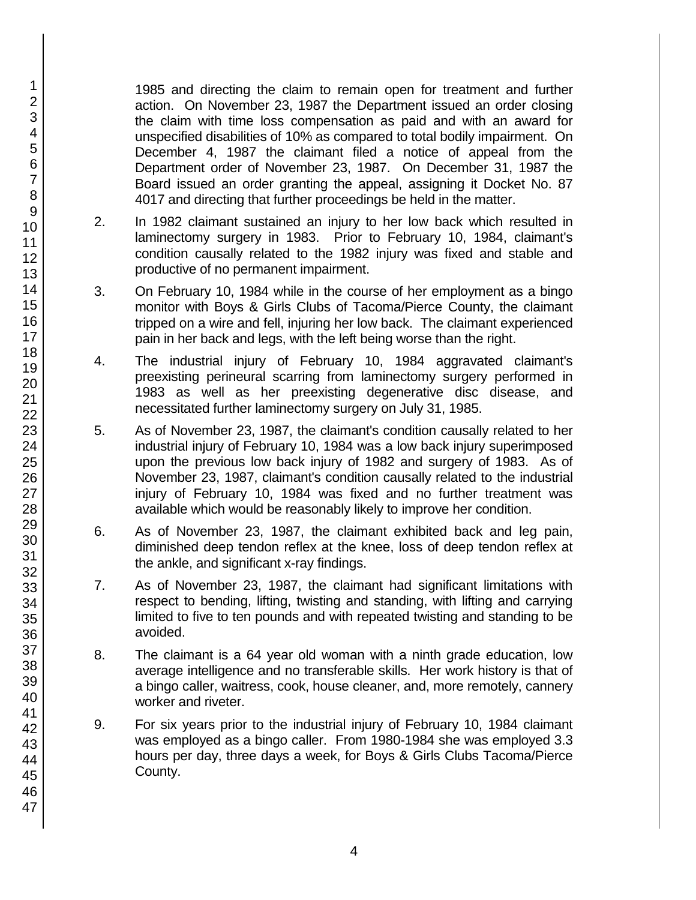1985 and directing the claim to remain open for treatment and further action. On November 23, 1987 the Department issued an order closing the claim with time loss compensation as paid and with an award for unspecified disabilities of 10% as compared to total bodily impairment. On December 4, 1987 the claimant filed a notice of appeal from the Department order of November 23, 1987. On December 31, 1987 the Board issued an order granting the appeal, assigning it Docket No. 87 4017 and directing that further proceedings be held in the matter.

- 2. In 1982 claimant sustained an injury to her low back which resulted in laminectomy surgery in 1983. Prior to February 10, 1984, claimant's condition causally related to the 1982 injury was fixed and stable and productive of no permanent impairment.
- 3. On February 10, 1984 while in the course of her employment as a bingo monitor with Boys & Girls Clubs of Tacoma/Pierce County, the claimant tripped on a wire and fell, injuring her low back. The claimant experienced pain in her back and legs, with the left being worse than the right.
- 4. The industrial injury of February 10, 1984 aggravated claimant's preexisting perineural scarring from laminectomy surgery performed in 1983 as well as her preexisting degenerative disc disease, and necessitated further laminectomy surgery on July 31, 1985.
- 5. As of November 23, 1987, the claimant's condition causally related to her industrial injury of February 10, 1984 was a low back injury superimposed upon the previous low back injury of 1982 and surgery of 1983. As of November 23, 1987, claimant's condition causally related to the industrial injury of February 10, 1984 was fixed and no further treatment was available which would be reasonably likely to improve her condition.
- 6. As of November 23, 1987, the claimant exhibited back and leg pain, diminished deep tendon reflex at the knee, loss of deep tendon reflex at the ankle, and significant x-ray findings.
- 7. As of November 23, 1987, the claimant had significant limitations with respect to bending, lifting, twisting and standing, with lifting and carrying limited to five to ten pounds and with repeated twisting and standing to be avoided.
- 8. The claimant is a 64 year old woman with a ninth grade education, low average intelligence and no transferable skills. Her work history is that of a bingo caller, waitress, cook, house cleaner, and, more remotely, cannery worker and riveter.
- 9. For six years prior to the industrial injury of February 10, 1984 claimant was employed as a bingo caller. From 1980-1984 she was employed 3.3 hours per day, three days a week, for Boys & Girls Clubs Tacoma/Pierce County.

1